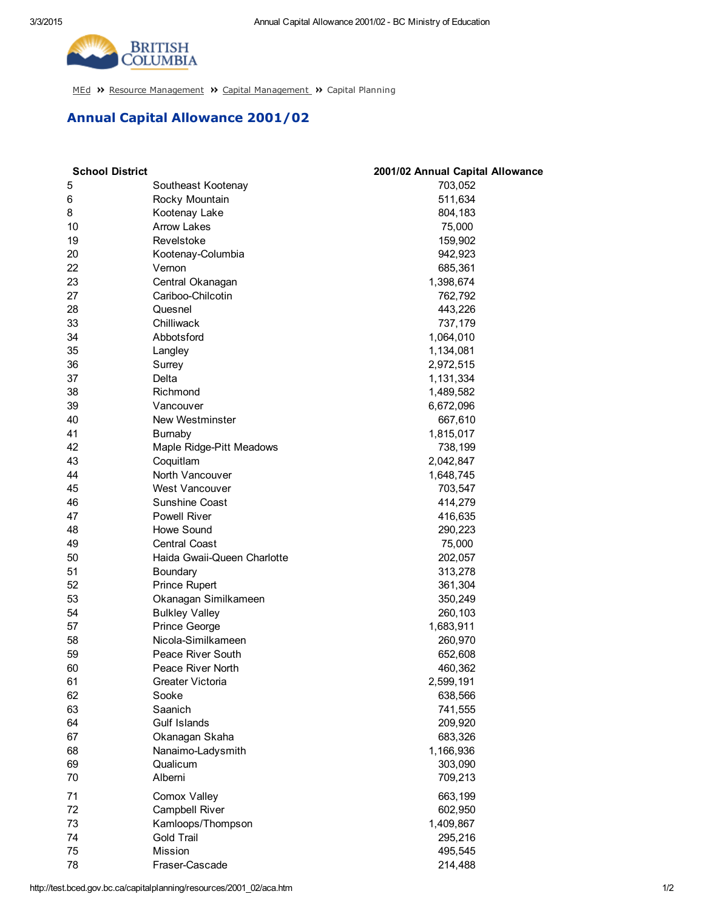

[MEd](http://test.bced.gov.bc.ca/) >> Resource [Management](http://test.bced.gov.bc.ca/departments/resource_man/capitalmanagement.htm) >> Capital Management >> Capital Planning

## Annual Capital Allowance 2001/02

| <b>School District</b> |                             | 2001/02 Annual Capital Allowance |
|------------------------|-----------------------------|----------------------------------|
| 5                      | Southeast Kootenay          | 703,052                          |
| 6                      | Rocky Mountain              | 511,634                          |
| 8                      | Kootenay Lake               | 804,183                          |
| 10                     | <b>Arrow Lakes</b>          | 75,000                           |
| 19                     | Revelstoke                  | 159,902                          |
| 20                     | Kootenay-Columbia           | 942,923                          |
| 22                     | Vernon                      | 685,361                          |
| 23                     | Central Okanagan            | 1,398,674                        |
| 27                     | Cariboo-Chilcotin           | 762,792                          |
| 28                     | Quesnel                     | 443,226                          |
| 33                     | Chilliwack                  | 737,179                          |
| 34                     | Abbotsford                  | 1,064,010                        |
| 35                     | Langley                     | 1,134,081                        |
| 36                     | Surrey                      | 2,972,515                        |
| 37                     | Delta                       | 1,131,334                        |
| 38                     | Richmond                    | 1,489,582                        |
| 39                     | Vancouver                   | 6,672,096                        |
| 40                     | New Westminster             | 667,610                          |
| 41                     | <b>Bumaby</b>               | 1,815,017                        |
| 42                     | Maple Ridge-Pitt Meadows    | 738,199                          |
| 43                     | Coquitlam                   | 2,042,847                        |
| 44                     | North Vancouver             | 1,648,745                        |
| 45                     | West Vancouver              | 703,547                          |
| 46                     | Sunshine Coast              | 414,279                          |
| 47                     | <b>Powell River</b>         | 416,635                          |
| 48                     | Howe Sound                  | 290,223                          |
| 49                     | <b>Central Coast</b>        | 75,000                           |
| 50                     | Haida Gwaii-Queen Charlotte | 202,057                          |
| 51                     | Boundary                    | 313,278                          |
| 52                     | <b>Prince Rupert</b>        | 361,304                          |
| 53                     | Okanagan Similkameen        | 350,249                          |
| 54                     | <b>Bulkley Valley</b>       | 260,103                          |
| 57                     | Prince George               | 1,683,911                        |
| 58                     | Nicola-Similkameen          | 260,970                          |
| 59                     | Peace River South           | 652,608                          |
| 60                     | Peace River North           | 460,362                          |
| 61                     | Greater Victoria            | 2,599,191                        |
| 62                     | Sooke                       | 638,566                          |
| 63                     | Saanich                     | 741,555                          |
| 64                     | Gulf Islands                | 209,920                          |
| 67                     | Okanagan Skaha              | 683,326                          |
| 68                     | Nanaimo-Ladysmith           | 1,166,936                        |
| 69                     | Qualicum                    | 303,090                          |
| 70                     | Alberni                     | 709,213                          |
|                        |                             |                                  |
| 71                     | Comox Valley                | 663,199                          |
| 72                     | Campbell River              | 602,950                          |
| 73                     | Kamloops/Thompson           | 1,409,867                        |
| 74                     | Gold Trail                  | 295,216                          |
| 75                     | Mission                     | 495,545                          |
| 78                     | Fraser-Cascade              | 214,488                          |